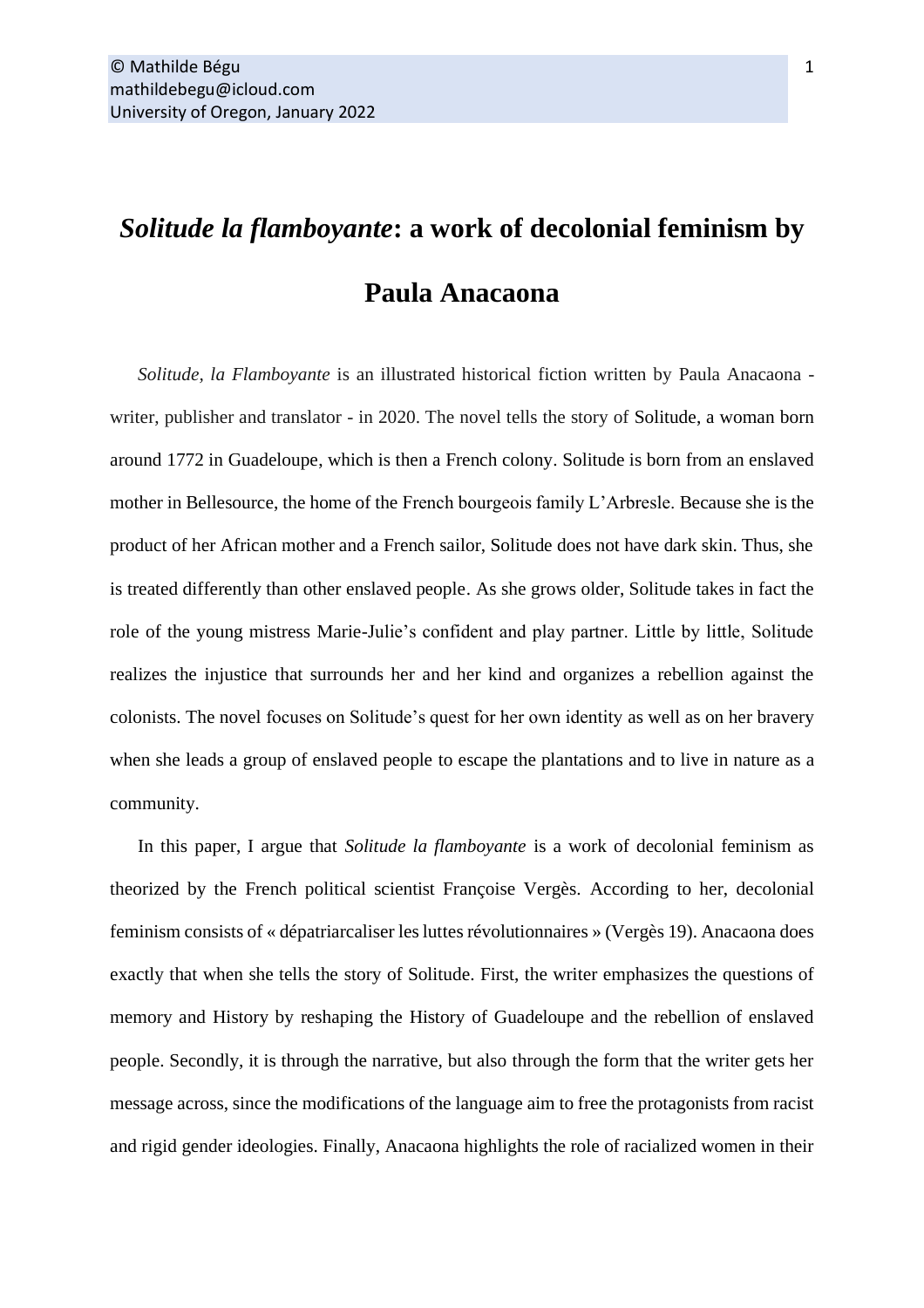## *Solitude la flamboyante***: a work of decolonial feminism by Paula Anacaona**

*Solitude, la Flamboyante* is an illustrated historical fiction written by Paula Anacaona writer, publisher and translator - in 2020. The novel tells the story of Solitude, a woman born around 1772 in Guadeloupe, which is then a French colony. Solitude is born from an enslaved mother in Bellesource, the home of the French bourgeois family L'Arbresle. Because she is the product of her African mother and a French sailor, Solitude does not have dark skin. Thus, she is treated differently than other enslaved people. As she grows older, Solitude takes in fact the role of the young mistress Marie-Julie's confident and play partner. Little by little, Solitude realizes the injustice that surrounds her and her kind and organizes a rebellion against the colonists. The novel focuses on Solitude's quest for her own identity as well as on her bravery when she leads a group of enslaved people to escape the plantations and to live in nature as a community.

In this paper, I argue that *Solitude la flamboyante* is a work of decolonial feminism as theorized by the French political scientist Françoise Vergès. According to her, decolonial feminism consists of « dépatriarcaliser les luttes révolutionnaires » (Vergès 19). Anacaona does exactly that when she tells the story of Solitude. First, the writer emphasizes the questions of memory and History by reshaping the History of Guadeloupe and the rebellion of enslaved people. Secondly, it is through the narrative, but also through the form that the writer gets her message across, since the modifications of the language aim to free the protagonists from racist and rigid gender ideologies. Finally, Anacaona highlights the role of racialized women in their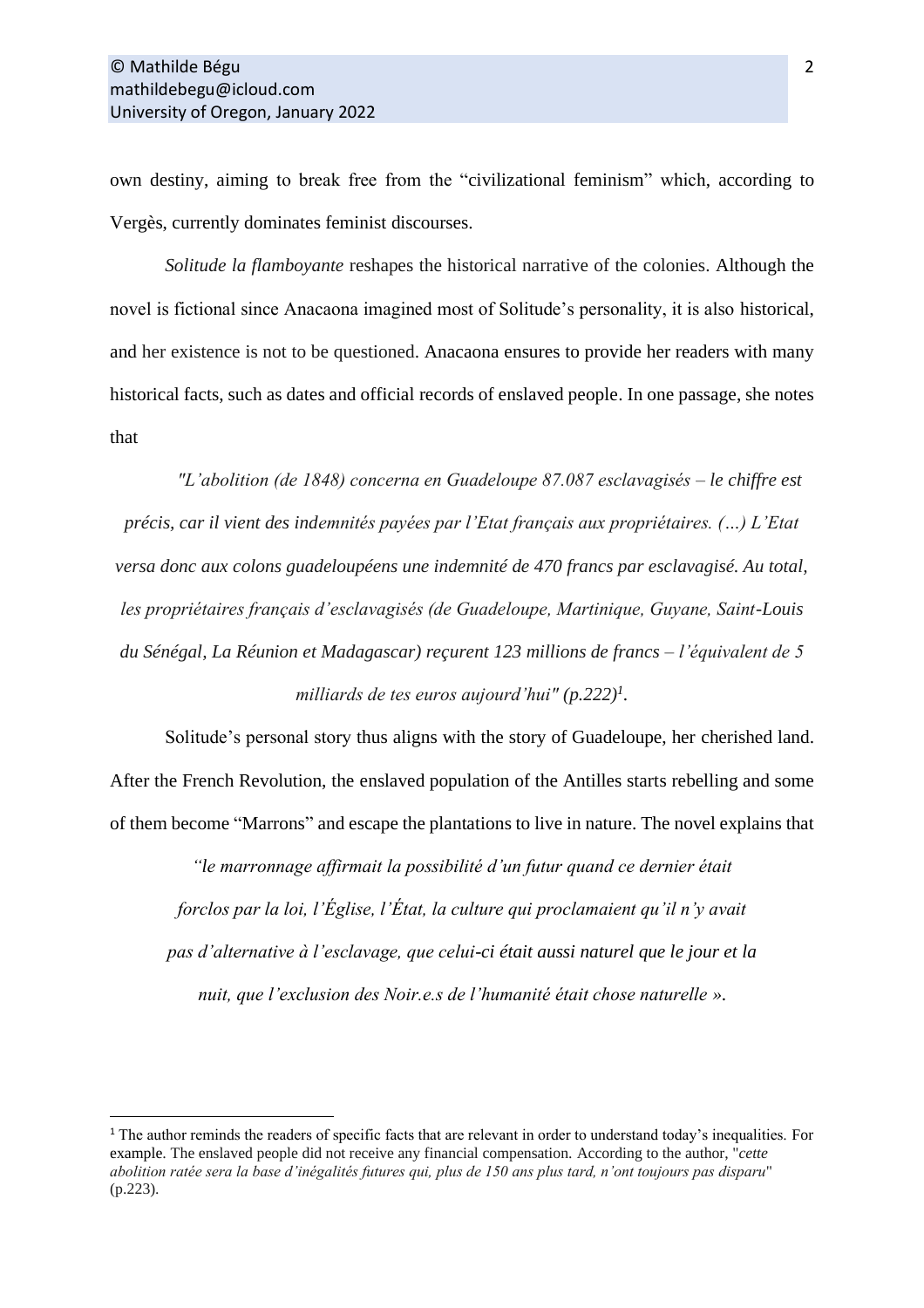own destiny, aiming to break free from the "civilizational feminism" which, according to Vergès, currently dominates feminist discourses.

*Solitude la flamboyante* reshapes the historical narrative of the colonies. Although the novel is fictional since Anacaona imagined most of Solitude's personality, it is also historical, and her existence is not to be questioned. Anacaona ensures to provide her readers with many historical facts, such as dates and official records of enslaved people. In one passage, she notes that

*"L'abolition (de 1848) concerna en Guadeloupe 87.087 esclavagisés – le chiffre est précis, car il vient des indemnités payées par l'Etat français aux propriétaires. (…) L'Etat versa donc aux colons guadeloupéens une indemnité de 470 francs par esclavagisé. Au total, les propriétaires français d'esclavagisés (de Guadeloupe, Martinique, Guyane, Saint-Louis du Sénégal, La Réunion et Madagascar) reçurent 123 millions de francs – l'équivalent de 5 milliards de tes euros aujourd'hui" (p.222)<sup>1</sup> .*

Solitude's personal story thus aligns with the story of Guadeloupe, her cherished land. After the French Revolution, the enslaved population of the Antilles starts rebelling and some of them become "Marrons" and escape the plantations to live in nature. The novel explains that

*"le marronnage affirmait la possibilité d'un futur quand ce dernier était forclos par la loi, l'Église, l'État, la culture qui proclamaient qu'il n'y avait pas d'alternative à l'esclavage, que celui-ci était aussi naturel que le jour et la nuit, que l'exclusion des Noir.e.s de l'humanité était chose naturelle ».*

<sup>&</sup>lt;sup>1</sup> The author reminds the readers of specific facts that are relevant in order to understand today's inequalities. For example. The enslaved people did not receive any financial compensation. According to the author, "*cette abolition ratée sera la base d'inégalités futures qui, plus de 150 ans plus tard, n'ont toujours pas disparu*" (p.223).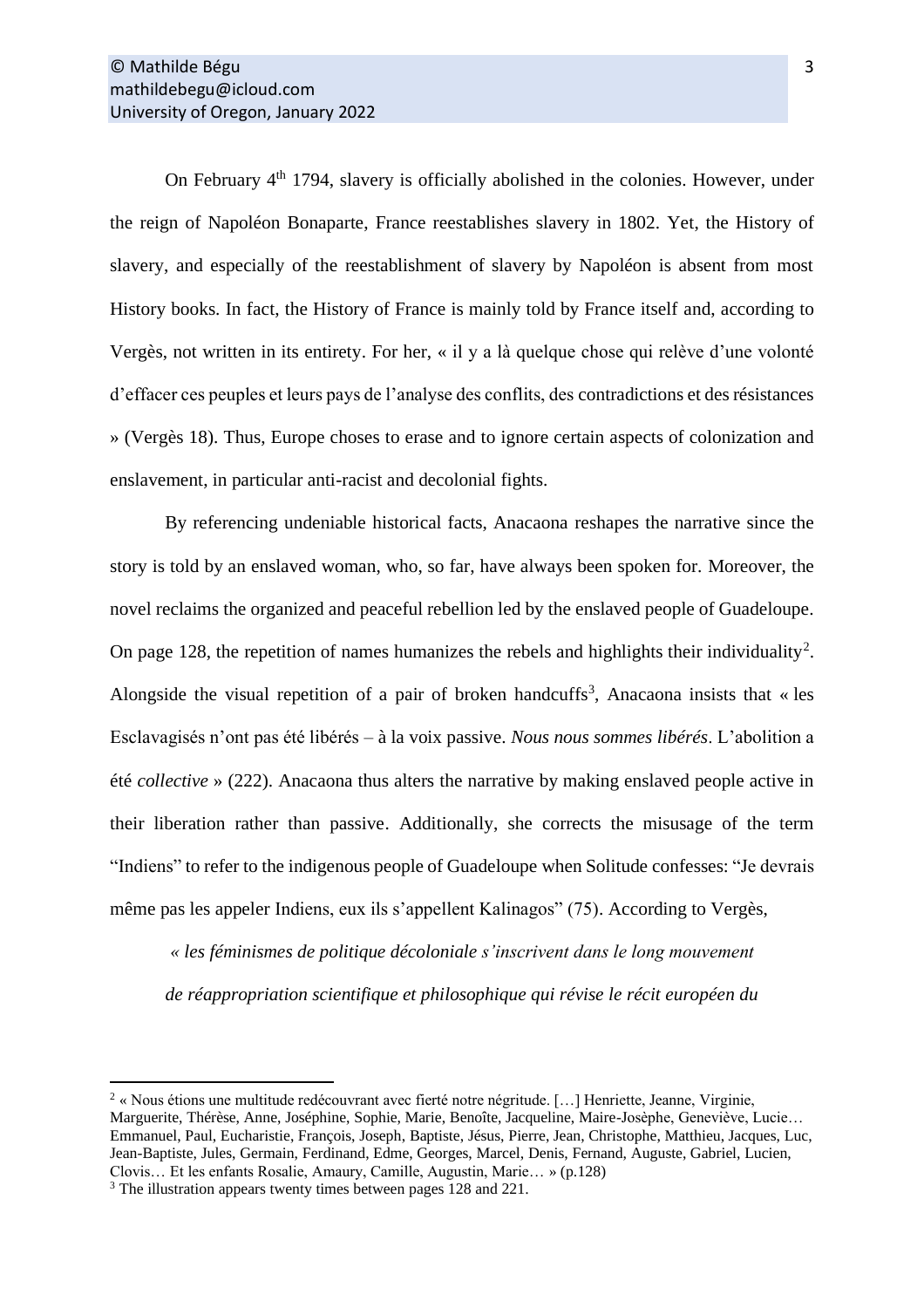On February 4<sup>th</sup> 1794, slavery is officially abolished in the colonies. However, under the reign of Napoléon Bonaparte, France reestablishes slavery in 1802. Yet, the History of slavery, and especially of the reestablishment of slavery by Napoléon is absent from most History books. In fact, the History of France is mainly told by France itself and, according to Vergès, not written in its entirety. For her, « il y a là quelque chose qui relève d'une volonté d'effacer ces peuples et leurs pays de l'analyse des conflits, des contradictions et des résistances » (Vergès 18). Thus, Europe choses to erase and to ignore certain aspects of colonization and enslavement, in particular anti-racist and decolonial fights.

By referencing undeniable historical facts, Anacaona reshapes the narrative since the story is told by an enslaved woman, who, so far, have always been spoken for. Moreover, the novel reclaims the organized and peaceful rebellion led by the enslaved people of Guadeloupe. On page 128, the repetition of names humanizes the rebels and highlights their individuality<sup>2</sup>. Alongside the visual repetition of a pair of broken handcuffs<sup>3</sup>, Anacaona insists that « les Esclavagisés n'ont pas été libérés – à la voix passive. *Nous nous sommes libérés*. L'abolition a été *collective* » (222). Anacaona thus alters the narrative by making enslaved people active in their liberation rather than passive. Additionally, she corrects the misusage of the term "Indiens" to refer to the indigenous people of Guadeloupe when Solitude confesses: "Je devrais même pas les appeler Indiens, eux ils s'appellent Kalinagos" (75). According to Vergès,

*« les féminismes de politique décoloniale s'inscrivent dans le long mouvement de réappropriation scientifique et philosophique qui révise le récit européen du* 

 $2 \times$  Nous étions une multitude redécouvrant avec fierté notre négritude. [...] Henriette, Jeanne, Virginie, Marguerite, Thérèse, Anne, Joséphine, Sophie, Marie, Benoîte, Jacqueline, Maire-Josèphe, Geneviève, Lucie… Emmanuel, Paul, Eucharistie, François, Joseph, Baptiste, Jésus, Pierre, Jean, Christophe, Matthieu, Jacques, Luc, Jean-Baptiste, Jules, Germain, Ferdinand, Edme, Georges, Marcel, Denis, Fernand, Auguste, Gabriel, Lucien, Clovis… Et les enfants Rosalie, Amaury, Camille, Augustin, Marie… » (p.128)

<sup>3</sup> The illustration appears twenty times between pages 128 and 221.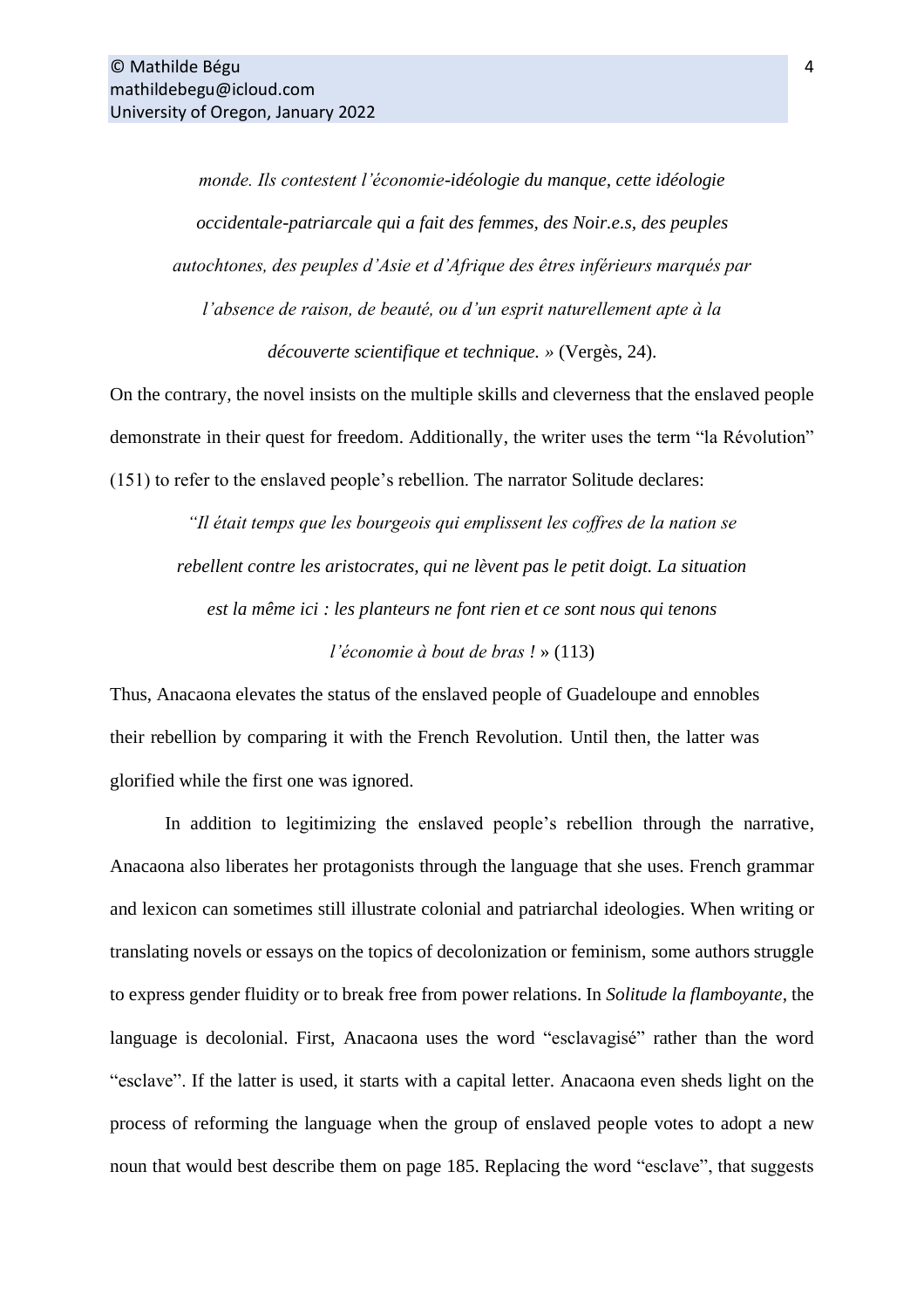*monde. Ils contestent l'économie-idéologie du manque, cette idéologie occidentale-patriarcale qui a fait des femmes, des Noir.e.s, des peuples autochtones, des peuples d'Asie et d'Afrique des êtres inférieurs marqués par l'absence de raison, de beauté, ou d'un esprit naturellement apte à la découverte scientifique et technique. »* (Vergès, 24).

On the contrary, the novel insists on the multiple skills and cleverness that the enslaved people demonstrate in their quest for freedom. Additionally, the writer uses the term "la Révolution" (151) to refer to the enslaved people's rebellion. The narrator Solitude declares:

*"Il était temps que les bourgeois qui emplissent les coffres de la nation se rebellent contre les aristocrates, qui ne lèvent pas le petit doigt. La situation est la même ici : les planteurs ne font rien et ce sont nous qui tenons* 

*l'économie à bout de bras !* » (113)

Thus, Anacaona elevates the status of the enslaved people of Guadeloupe and ennobles their rebellion by comparing it with the French Revolution. Until then, the latter was glorified while the first one was ignored.

In addition to legitimizing the enslaved people's rebellion through the narrative, Anacaona also liberates her protagonists through the language that she uses. French grammar and lexicon can sometimes still illustrate colonial and patriarchal ideologies. When writing or translating novels or essays on the topics of decolonization or feminism, some authors struggle to express gender fluidity or to break free from power relations. In *Solitude la flamboyante*, the language is decolonial. First, Anacaona uses the word "esclavagisé" rather than the word "esclave". If the latter is used, it starts with a capital letter. Anacaona even sheds light on the process of reforming the language when the group of enslaved people votes to adopt a new noun that would best describe them on page 185. Replacing the word "esclave", that suggests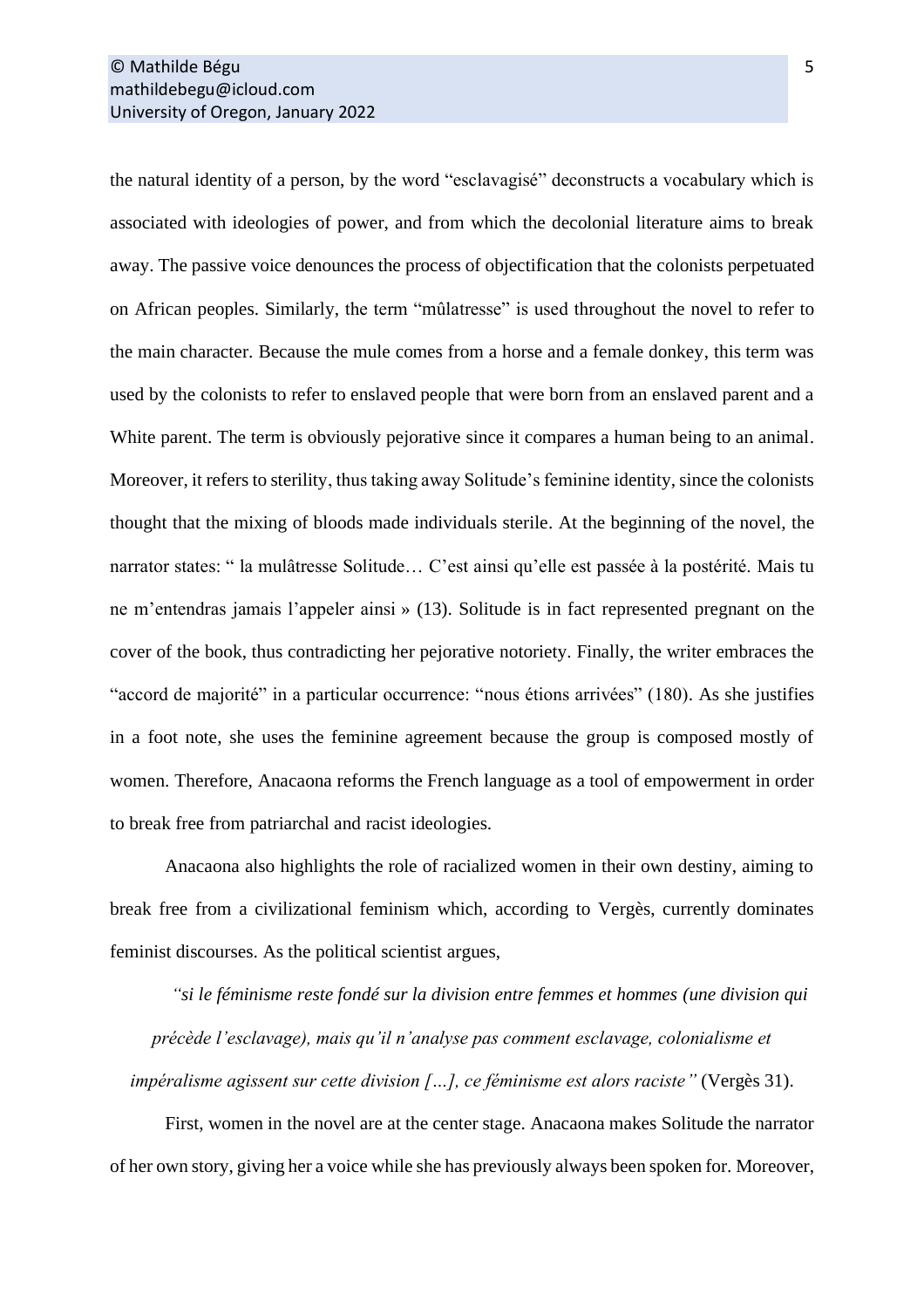the natural identity of a person, by the word "esclavagisé" deconstructs a vocabulary which is associated with ideologies of power, and from which the decolonial literature aims to break away. The passive voice denounces the process of objectification that the colonists perpetuated on African peoples. Similarly, the term "mûlatresse" is used throughout the novel to refer to the main character. Because the mule comes from a horse and a female donkey, this term was used by the colonists to refer to enslaved people that were born from an enslaved parent and a White parent. The term is obviously pejorative since it compares a human being to an animal. Moreover, it refers to sterility, thus taking away Solitude's feminine identity, since the colonists thought that the mixing of bloods made individuals sterile. At the beginning of the novel, the narrator states: " la mulâtresse Solitude… C'est ainsi qu'elle est passée à la postérité. Mais tu ne m'entendras jamais l'appeler ainsi » (13). Solitude is in fact represented pregnant on the cover of the book, thus contradicting her pejorative notoriety. Finally, the writer embraces the "accord de majorité" in a particular occurrence: "nous étions arrivées" (180). As she justifies in a foot note, she uses the feminine agreement because the group is composed mostly of women. Therefore, Anacaona reforms the French language as a tool of empowerment in order to break free from patriarchal and racist ideologies.

Anacaona also highlights the role of racialized women in their own destiny, aiming to break free from a civilizational feminism which, according to Vergès, currently dominates feminist discourses. As the political scientist argues,

*"si le féminisme reste fondé sur la division entre femmes et hommes (une division qui précède l'esclavage), mais qu'il n'analyse pas comment esclavage, colonialisme et impéralisme agissent sur cette division […], ce féminisme est alors raciste"* (Vergès 31).

First, women in the novel are at the center stage. Anacaona makes Solitude the narrator of her own story, giving her a voice while she has previously always been spoken for. Moreover,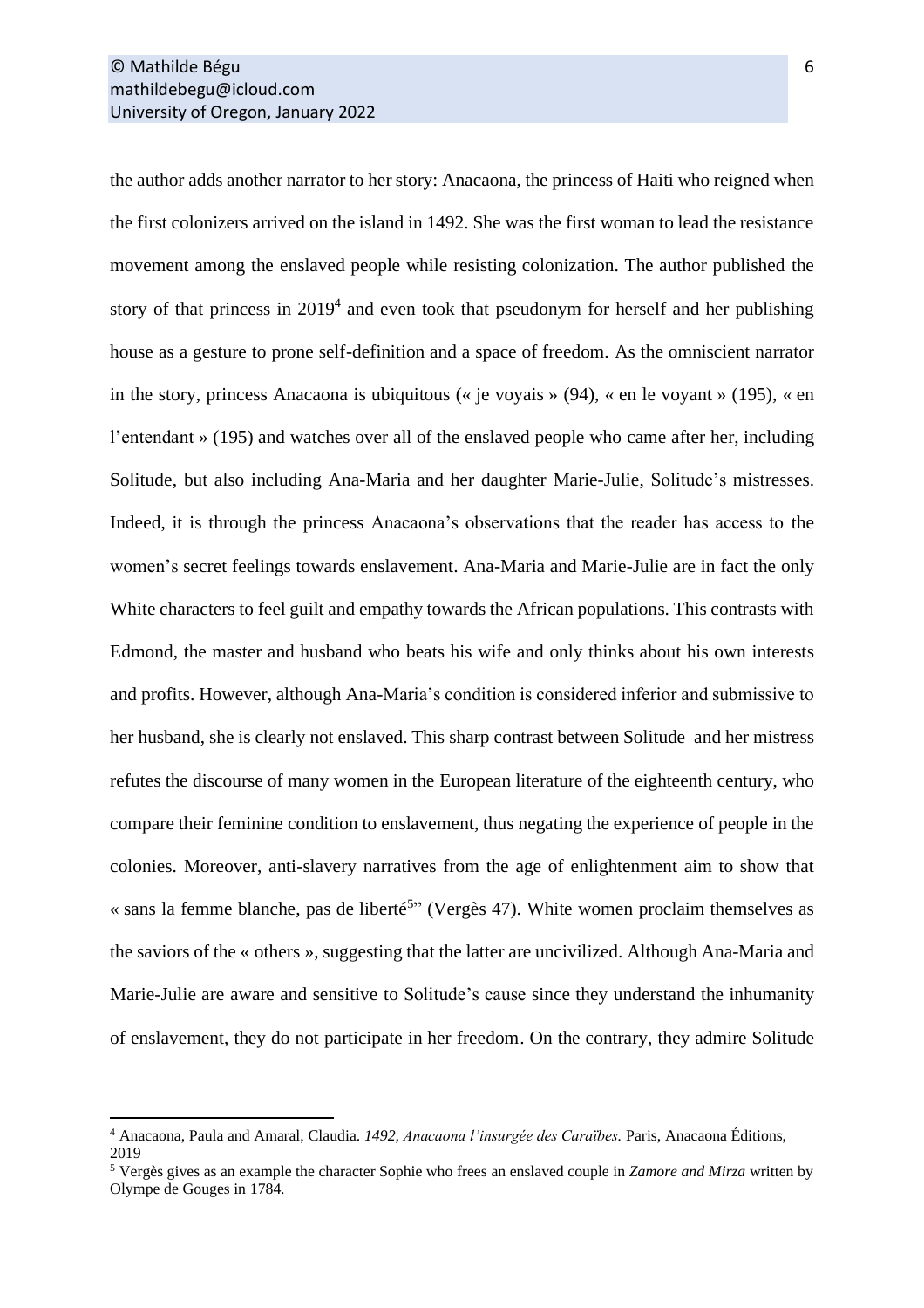the author adds another narrator to her story: Anacaona, the princess of Haiti who reigned when the first colonizers arrived on the island in 1492. She was the first woman to lead the resistance movement among the enslaved people while resisting colonization. The author published the story of that princess in  $2019<sup>4</sup>$  and even took that pseudonym for herself and her publishing house as a gesture to prone self-definition and a space of freedom. As the omniscient narrator in the story, princess Anacaona is ubiquitous (« je voyais » (94), « en le voyant » (195), « en l'entendant » (195) and watches over all of the enslaved people who came after her, including Solitude, but also including Ana-Maria and her daughter Marie-Julie, Solitude's mistresses. Indeed, it is through the princess Anacaona's observations that the reader has access to the women's secret feelings towards enslavement. Ana-Maria and Marie-Julie are in fact the only White characters to feel guilt and empathy towards the African populations. This contrasts with Edmond, the master and husband who beats his wife and only thinks about his own interests and profits. However, although Ana-Maria's condition is considered inferior and submissive to her husband, she is clearly not enslaved. This sharp contrast between Solitude and her mistress refutes the discourse of many women in the European literature of the eighteenth century, who compare their feminine condition to enslavement, thus negating the experience of people in the colonies. Moreover, anti-slavery narratives from the age of enlightenment aim to show that « sans la femme blanche, pas de liberté<sup>5</sup>" (Vergès 47). White women proclaim themselves as the saviors of the « others », suggesting that the latter are uncivilized. Although Ana-Maria and Marie-Julie are aware and sensitive to Solitude's cause since they understand the inhumanity of enslavement, they do not participate in her freedom. On the contrary, they admire Solitude

<sup>4</sup> Anacaona, Paula and Amaral, Claudia. *1492, Anacaona l'insurgée des Caraïbes.* Paris, Anacaona Éditions, 2019

<sup>5</sup> Vergès gives as an example the character Sophie who frees an enslaved couple in *Zamore and Mirza* written by Olympe de Gouges in 1784.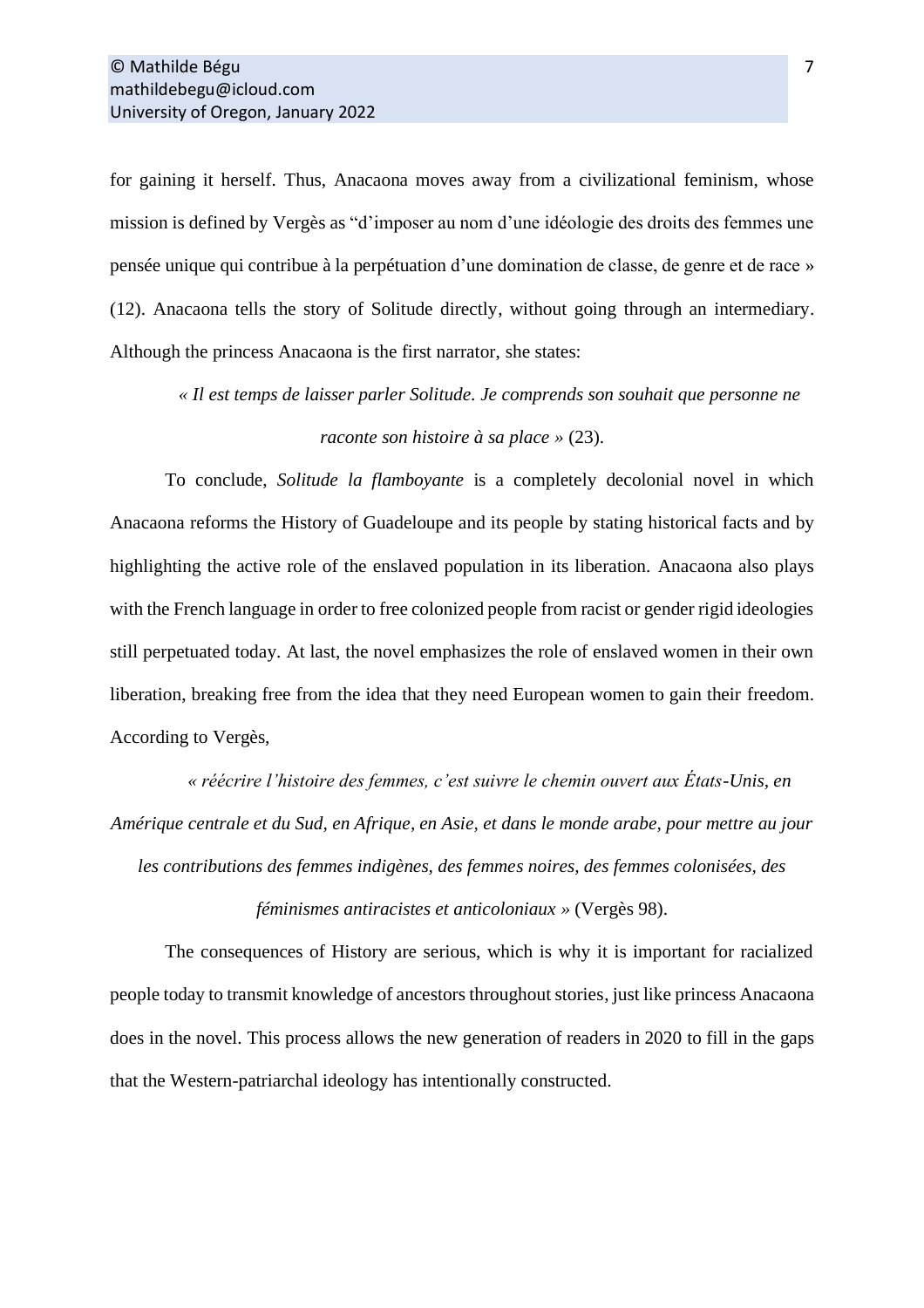for gaining it herself. Thus, Anacaona moves away from a civilizational feminism, whose mission is defined by Vergès as "d'imposer au nom d'une idéologie des droits des femmes une pensée unique qui contribue à la perpétuation d'une domination de classe, de genre et de race » (12). Anacaona tells the story of Solitude directly, without going through an intermediary. Although the princess Anacaona is the first narrator, she states:

*« Il est temps de laisser parler Solitude. Je comprends son souhait que personne ne raconte son histoire à sa place »* (23).

To conclude, *Solitude la flamboyante* is a completely decolonial novel in which Anacaona reforms the History of Guadeloupe and its people by stating historical facts and by highlighting the active role of the enslaved population in its liberation. Anacaona also plays with the French language in order to free colonized people from racist or gender rigid ideologies still perpetuated today. At last, the novel emphasizes the role of enslaved women in their own liberation, breaking free from the idea that they need European women to gain their freedom. According to Vergès,

*« réécrire l'histoire des femmes, c'est suivre le chemin ouvert aux États-Unis, en Amérique centrale et du Sud, en Afrique, en Asie, et dans le monde arabe, pour mettre au jour* 

*les contributions des femmes indigènes, des femmes noires, des femmes colonisées, des* 

*féminismes antiracistes et anticoloniaux »* (Vergès 98).

The consequences of History are serious, which is why it is important for racialized people today to transmit knowledge of ancestors throughout stories, just like princess Anacaona does in the novel. This process allows the new generation of readers in 2020 to fill in the gaps that the Western-patriarchal ideology has intentionally constructed.